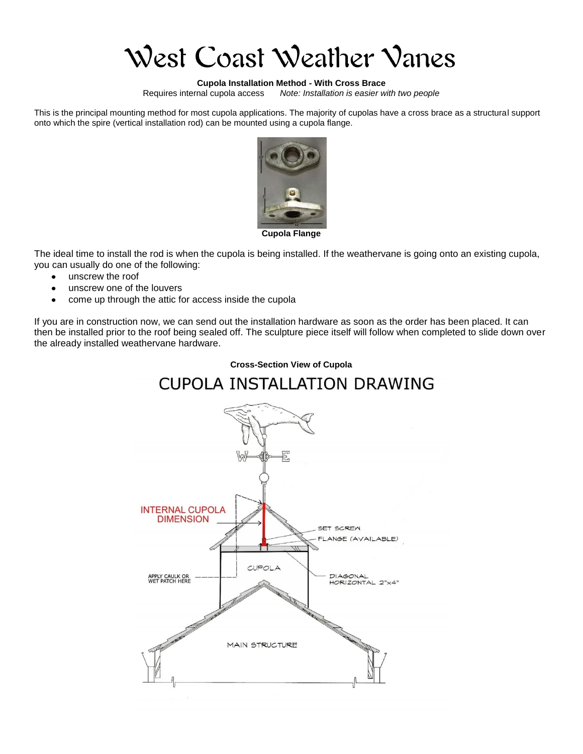West Coast Weather Vanes

# **Cupola Installation Method - With Cross Brace**

Note: Installation is easier with two people

This is the principal mounting method for most cupola applications. The majority of cupolas have a cross brace as a structural support onto which the spire (vertical installation rod) can be mounted using a cupola flange.



**Cupola Flange**

The ideal time to install the rod is when the cupola is being installed. If the weathervane is going onto an existing cupola, you can usually do one of the following:

- unscrew the roof
- unscrew one of the louvers
- come up through the attic for access inside the cupola

If you are in construction now, we can send out the installation hardware as soon as the order has been placed. It can then be installed prior to the roof being sealed off. The sculpture piece itself will follow when completed to slide down over the already installed weathervane hardware.

#### **Cross-Section View of Cupola**



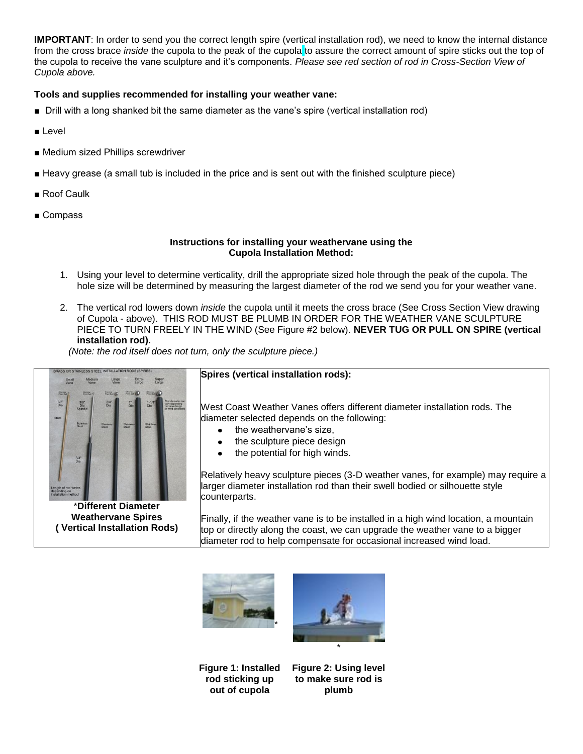**IMPORTANT**: In order to send you the correct length spire (vertical installation rod), we need to know the internal distance from the cross brace *inside* the cupola to the peak of the cupola to assure the correct amount of spire sticks out the top of the cupola to receive the vane sculpture and it's components. *Please see red section of rod in Cross-Section View of Cupola above.*

## **Tools and supplies recommended for installing your weather vane:**

- Drill with a long shanked bit the same diameter as the vane's spire (vertical installation rod)
- Level
- Medium sized Phillips screwdriver
- Heavy grease (a small tub is included in the price and is sent out with the finished sculpture piece)
- Roof Caulk
- Compass

#### **Instructions for installing your weathervane using the Cupola Installation Method:**

- 1. Using your level to determine verticality, drill the appropriate sized hole through the peak of the cupola. The hole size will be determined by measuring the largest diameter of the rod we send you for your weather vane.
- 2. The vertical rod lowers down *inside* the cupola until it meets the cross brace (See Cross Section View drawing of Cupola - above). THIS ROD MUST BE PLUMB IN ORDER FOR THE WEATHER VANE SCULPTURE PIECE TO TURN FREELY IN THE WIND (See Figure #2 below). **NEVER TUG OR PULL ON SPIRE (vertical installation rod).**

*(Note: the rod itself does not turn, only the sculpture piece.)*



**Weathervane Spires ( Vertical Installation Rods)**

### **Spires (vertical installation rods):**

West Coast Weather Vanes offers different diameter installation rods. The diameter selected depends on the following:

- the weathervane's size,
- the sculpture piece design
- the potential for high winds.

Relatively heavy sculpture pieces (3-D weather vanes, for example) may require a larger diameter installation rod than their swell bodied or silhouette style counterparts.

Finally, if the weather vane is to be installed in a high wind location, a mountain top or directly along the coast, we can upgrade the weather vane to a bigger diameter rod to help compensate for occasional increased wind load.





**Figure 1: Installed rod sticking up out of cupola**

**Figure 2: Using level to make sure rod is plumb**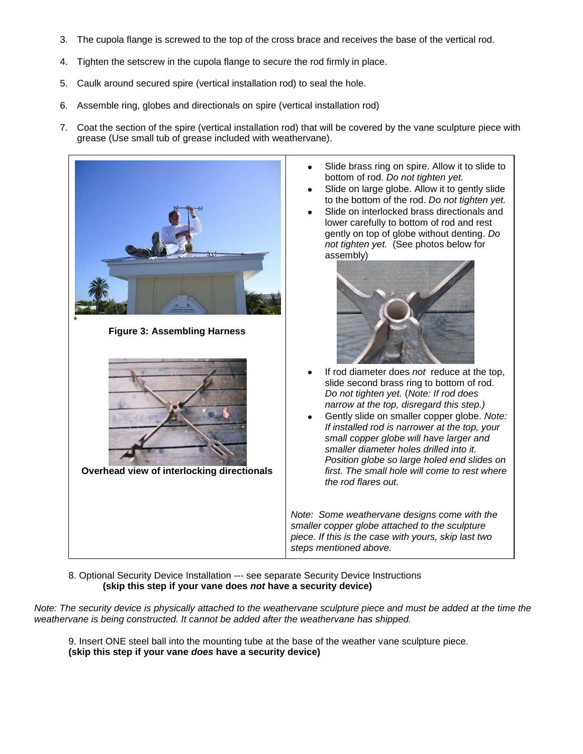- 3. The cupola flange is screwed to the top of the cross brace and receives the base of the vertical rod.
- 4. Tighten the setscrew in the cupola flange to secure the rod firmly in place.
- 5. Caulk around secured spire (vertical installation rod) to seal the hole.
- 6. Assemble ring, globes and directionals on spire (vertical installation rod)
- 7. Coat the section of the spire (vertical installation rod) that will be covered by the vane sculpture piece with grease (Use small tub of grease included with weathervane).



8. Optional Security Device Installation --- see separate Security Device Instructions **(skip this step if your vane does** *not* **have a security device)**

*Note: The security device is physically attached to the weathervane sculpture piece and must be added at the time the weathervane is being constructed. It cannot be added after the weathervane has shipped.* 

9. Insert ONE steel ball into the mounting tube at the base of the weather vane sculpture piece. **(skip this step if your vane** *does* **have a security device)**